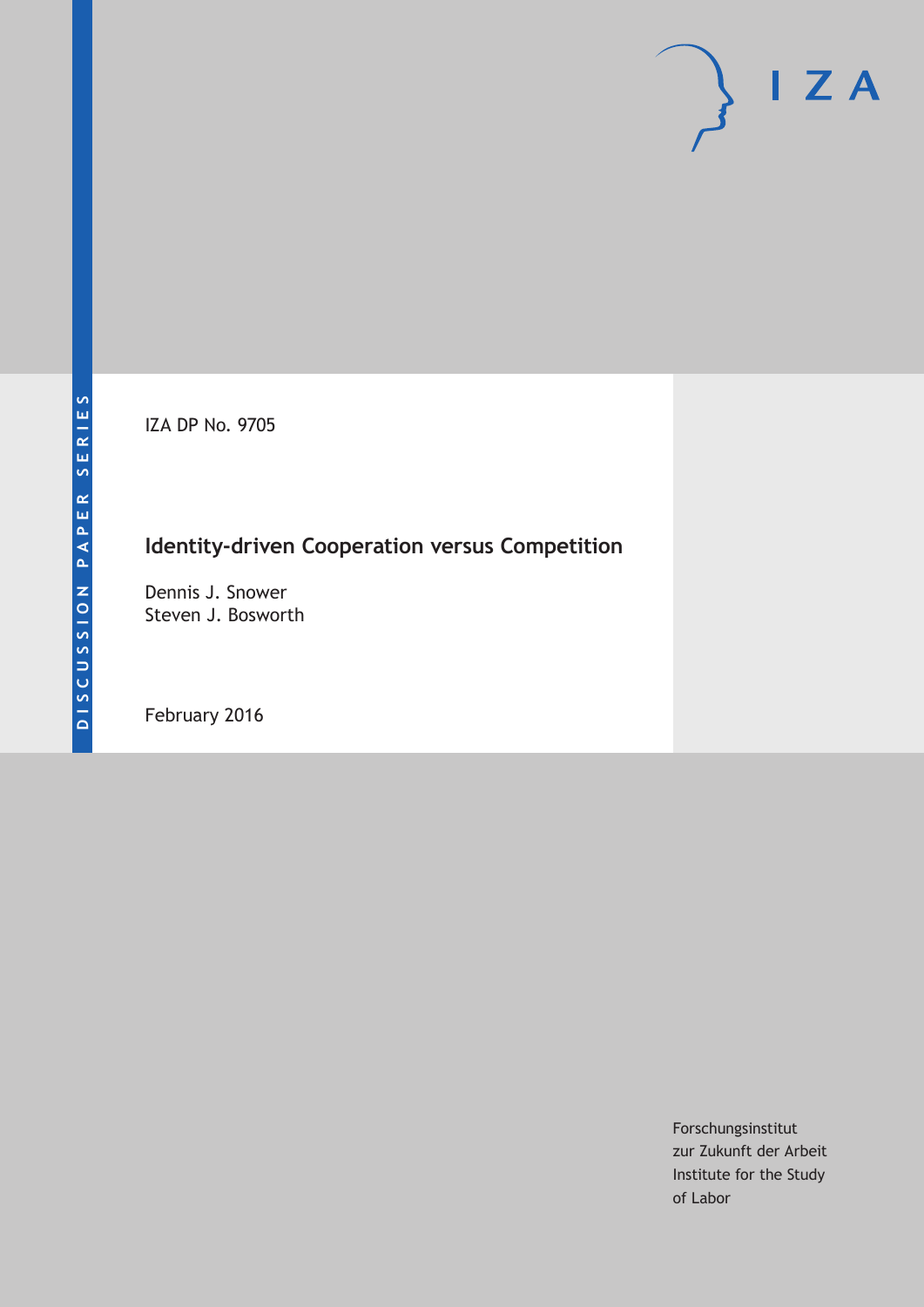IZA DP No. 9705

# **Identity-driven Cooperation versus Competition**

Dennis J. Snower Steven J. Bosworth

February 2016

Forschungsinstitut zur Zukunft der Arbeit Institute for the Study of Labor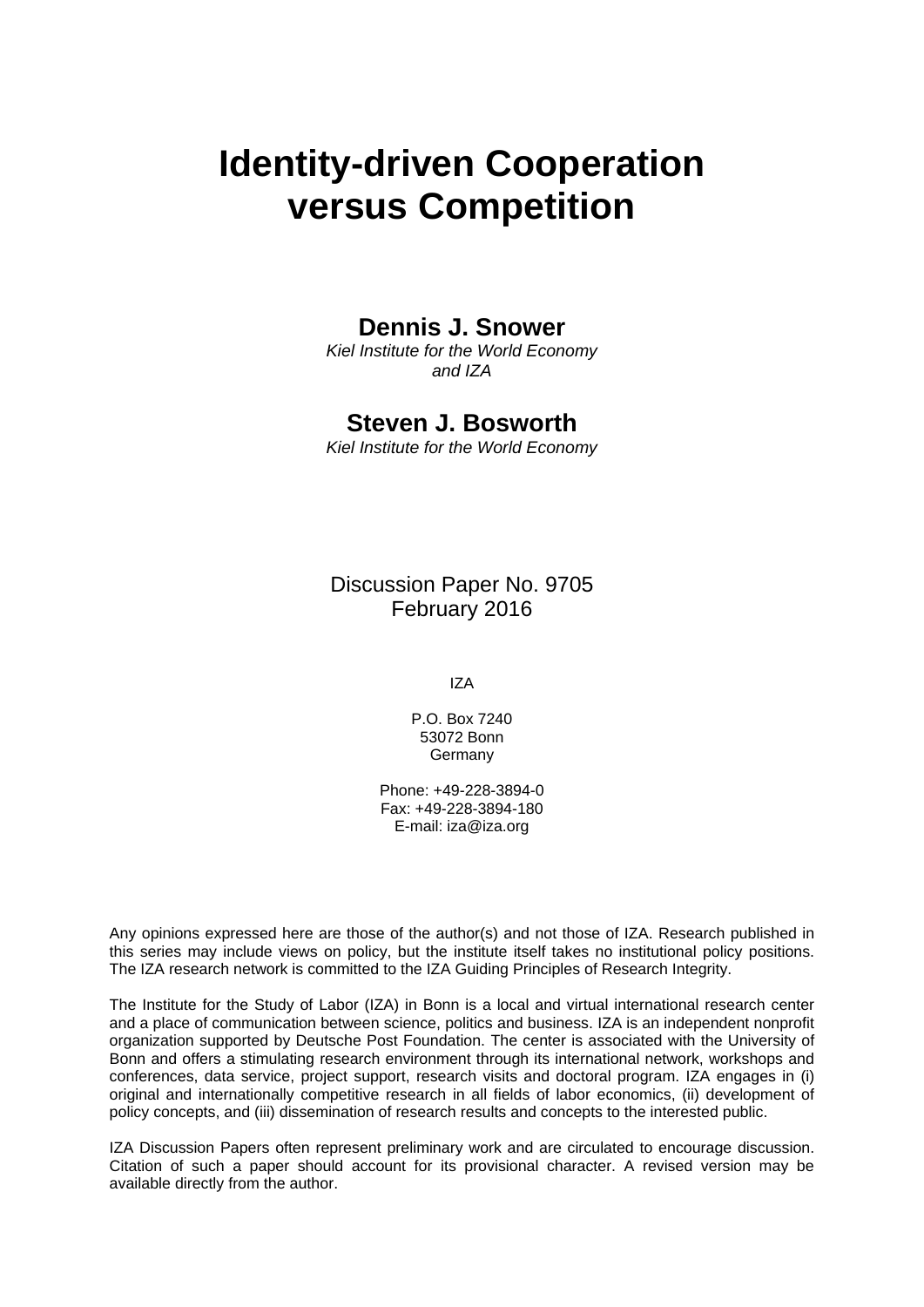# **Identity-driven Cooperation versus Competition**

### **Dennis J. Snower**

*Kiel Institute for the World Economy and IZA* 

### **Steven J. Bosworth**

*Kiel Institute for the World Economy* 

Discussion Paper No. 9705 February 2016

IZA

P.O. Box 7240 53072 Bonn **Germany** 

Phone: +49-228-3894-0 Fax: +49-228-3894-180 E-mail: iza@iza.org

Any opinions expressed here are those of the author(s) and not those of IZA. Research published in this series may include views on policy, but the institute itself takes no institutional policy positions. The IZA research network is committed to the IZA Guiding Principles of Research Integrity.

The Institute for the Study of Labor (IZA) in Bonn is a local and virtual international research center and a place of communication between science, politics and business. IZA is an independent nonprofit organization supported by Deutsche Post Foundation. The center is associated with the University of Bonn and offers a stimulating research environment through its international network, workshops and conferences, data service, project support, research visits and doctoral program. IZA engages in (i) original and internationally competitive research in all fields of labor economics, (ii) development of policy concepts, and (iii) dissemination of research results and concepts to the interested public.

IZA Discussion Papers often represent preliminary work and are circulated to encourage discussion. Citation of such a paper should account for its provisional character. A revised version may be available directly from the author.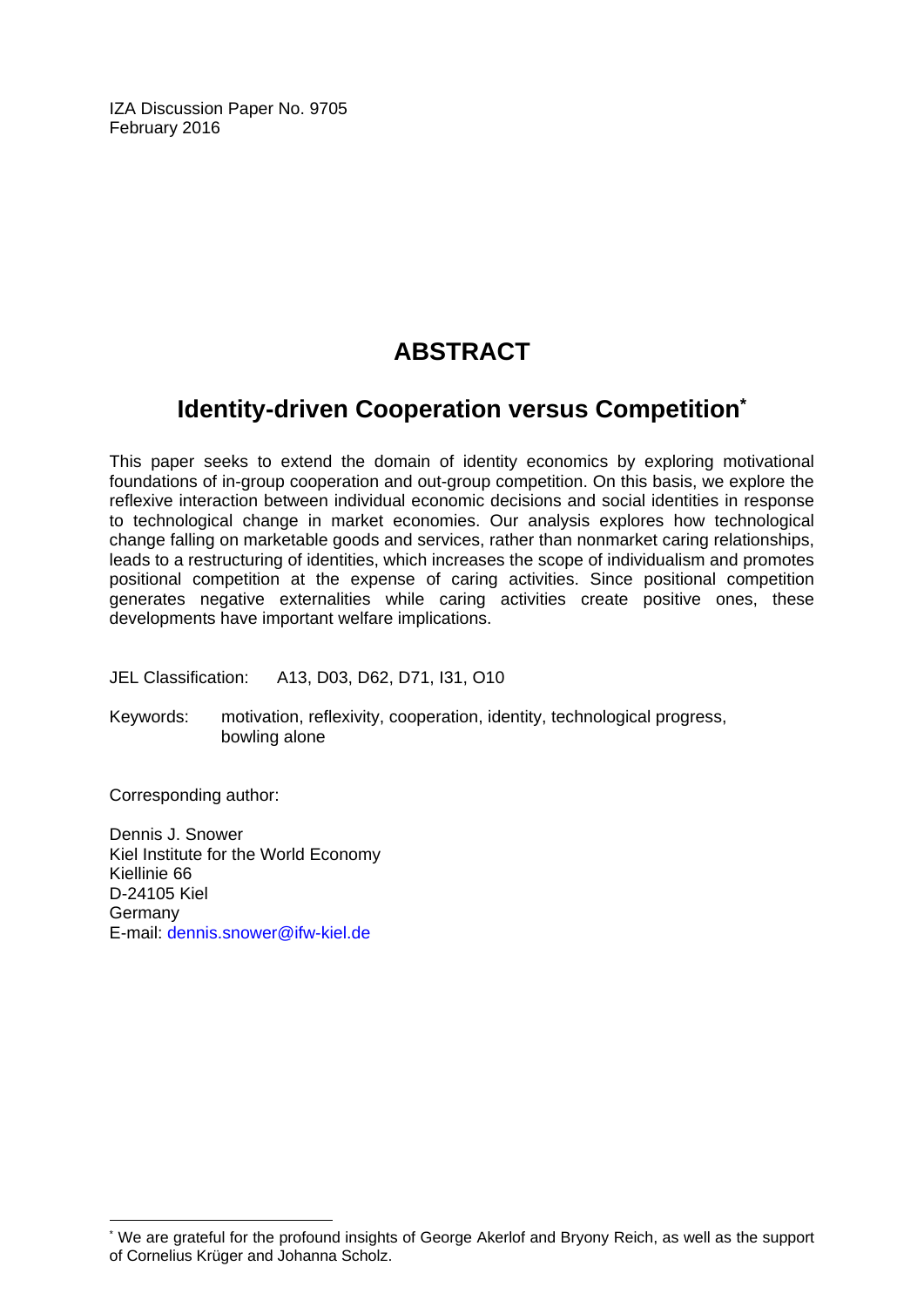IZA Discussion Paper No. 9705 February 2016

# **ABSTRACT**

# **Identity-driven Cooperation versus Competition\***

This paper seeks to extend the domain of identity economics by exploring motivational foundations of in-group cooperation and out-group competition. On this basis, we explore the reflexive interaction between individual economic decisions and social identities in response to technological change in market economies. Our analysis explores how technological change falling on marketable goods and services, rather than nonmarket caring relationships, leads to a restructuring of identities, which increases the scope of individualism and promotes positional competition at the expense of caring activities. Since positional competition generates negative externalities while caring activities create positive ones, these developments have important welfare implications.

JEL Classification: A13, D03, D62, D71, I31, O10

Keywords: motivation, reflexivity, cooperation, identity, technological progress, bowling alone

Corresponding author:

 $\overline{\phantom{a}}$ 

Dennis J. Snower Kiel Institute for the World Economy Kiellinie 66 D-24105 Kiel Germany E-mail: dennis.snower@ifw-kiel.de

<sup>\*</sup> We are grateful for the profound insights of George Akerlof and Bryony Reich, as well as the support of Cornelius Krüger and Johanna Scholz.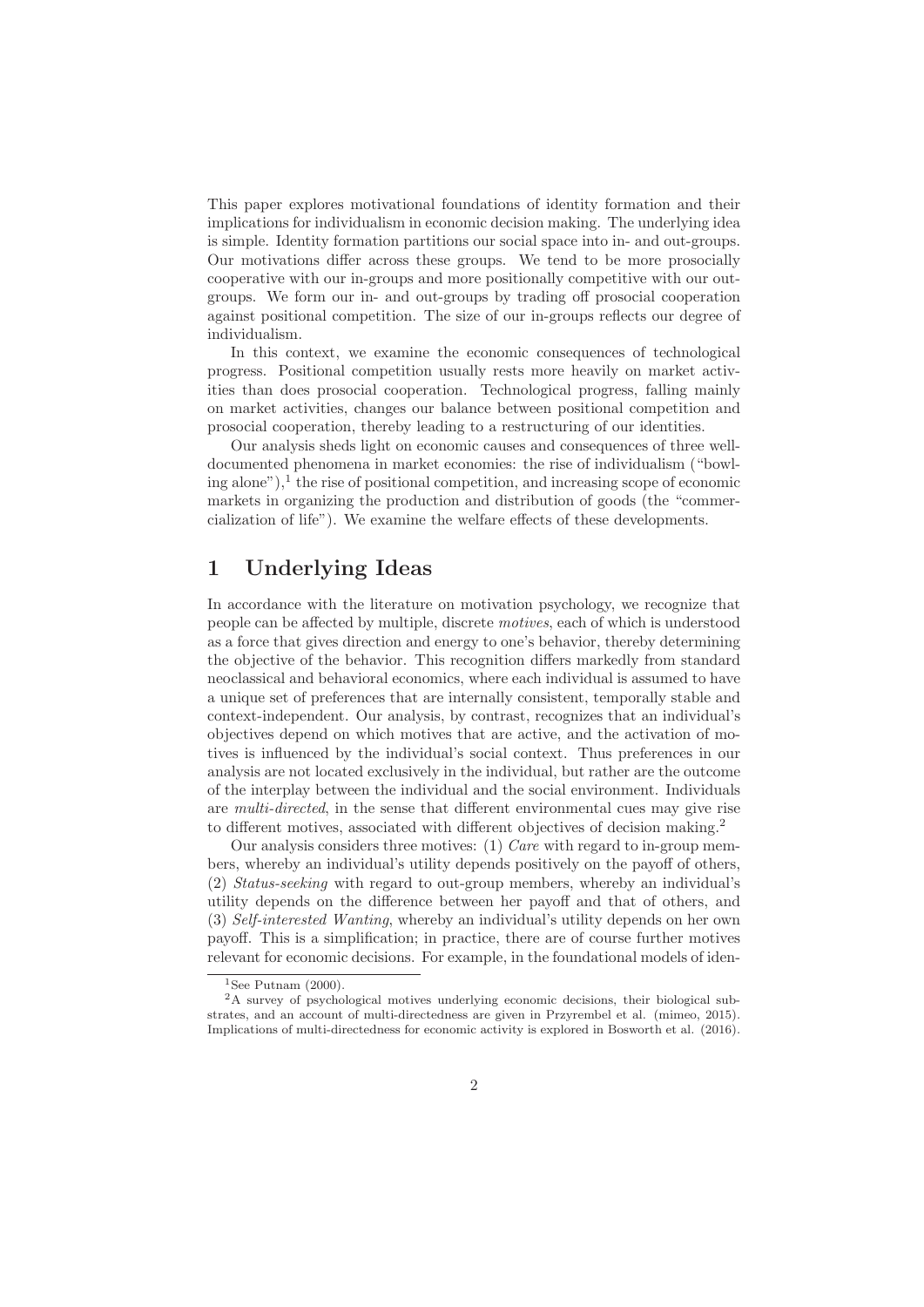This paper explores motivational foundations of identity formation and their implications for individualism in economic decision making. The underlying idea is simple. Identity formation partitions our social space into in- and out-groups. Our motivations differ across these groups. We tend to be more prosocially cooperative with our in-groups and more positionally competitive with our outgroups. We form our in- and out-groups by trading off prosocial cooperation against positional competition. The size of our in-groups reflects our degree of individualism.

In this context, we examine the economic consequences of technological progress. Positional competition usually rests more heavily on market activities than does prosocial cooperation. Technological progress, falling mainly on market activities, changes our balance between positional competition and prosocial cooperation, thereby leading to a restructuring of our identities.

Our analysis sheds light on economic causes and consequences of three welldocumented phenomena in market economies: the rise of individualism ("bowling alone"), $\frac{1}{2}$  the rise of positional competition, and increasing scope of economic markets in organizing the production and distribution of goods (the "commercialization of life"). We examine the welfare effects of these developments.

### **1 Underlying Ideas**

In accordance with the literature on motivation psychology, we recognize that people can be affected by multiple, discrete motives, each of which is understood as a force that gives direction and energy to one's behavior, thereby determining the objective of the behavior. This recognition differs markedly from standard neoclassical and behavioral economics, where each individual is assumed to have a unique set of preferences that are internally consistent, temporally stable and context-independent. Our analysis, by contrast, recognizes that an individual's objectives depend on which motives that are active, and the activation of motives is influenced by the individual's social context. Thus preferences in our analysis are not located exclusively in the individual, but rather are the outcome of the interplay between the individual and the social environment. Individuals are multi-directed, in the sense that different environmental cues may give rise to different motives, associated with different objectives of decision making.<sup>2</sup>

Our analysis considers three motives:  $(1)$  Care with regard to in-group members, whereby an individual's utility depends positively on the payoff of others, (2) Status-seeking with regard to out-group members, whereby an individual's utility depends on the difference between her payoff and that of others, and (3) Self-interested Wanting, whereby an individual's utility depends on her own payoff. This is a simplification; in practice, there are of course further motives relevant for economic decisions. For example, in the foundational models of iden-

 $1$ See Putnam  $(2000)$ .

<sup>2</sup>A survey of psychological motives underlying economic decisions, their biological substrates, and an account of multi-directedness are given in Przyrembel et al. (mimeo, 2015). Implications of multi-directedness for economic activity is explored in Bosworth et al. (2016).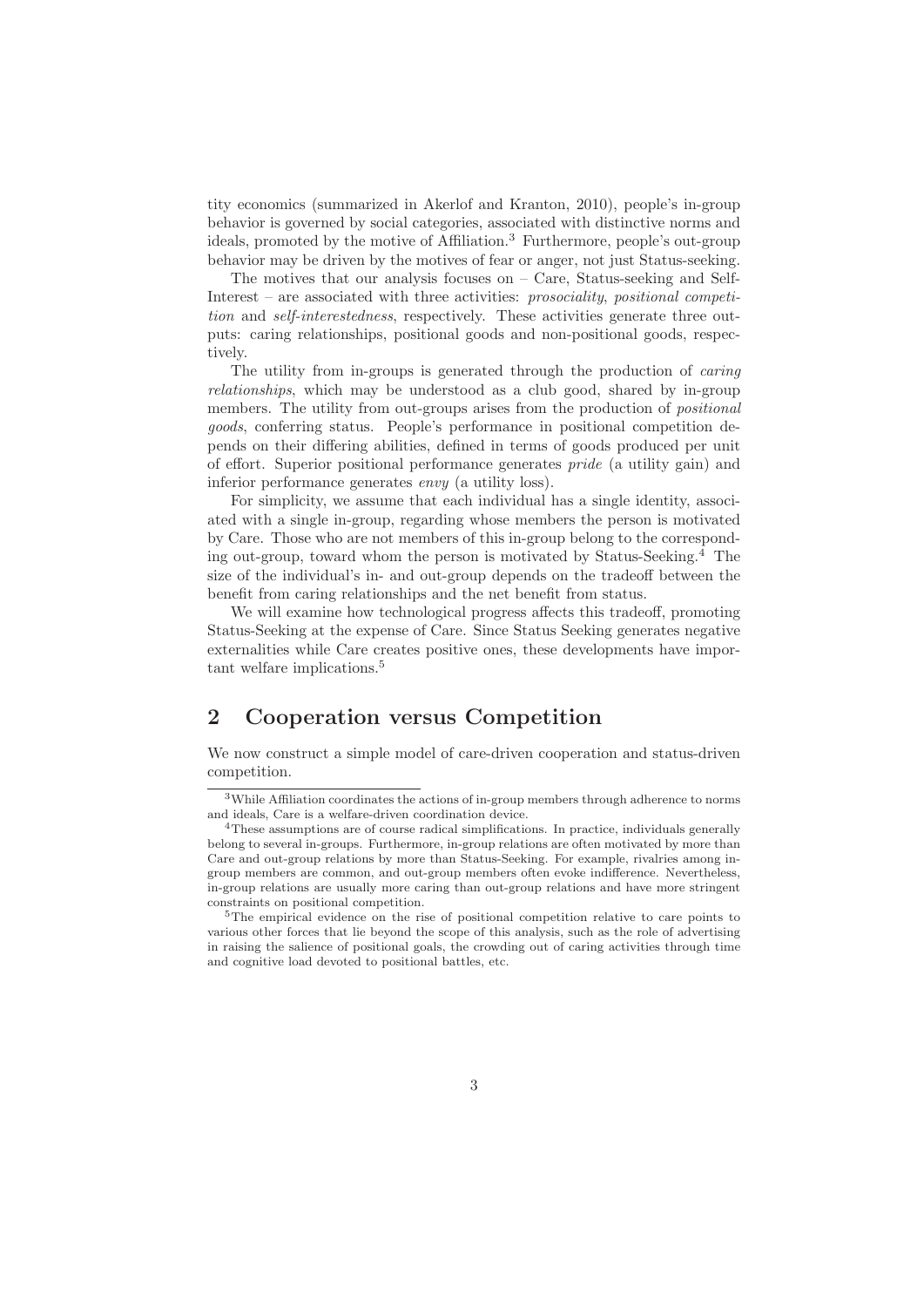tity economics (summarized in Akerlof and Kranton, 2010), people's in-group behavior is governed by social categories, associated with distinctive norms and ideals, promoted by the motive of Affiliation.<sup>3</sup> Furthermore, people's out-group behavior may be driven by the motives of fear or anger, not just Status-seeking.

The motives that our analysis focuses on – Care, Status-seeking and Self-Interest – are associated with three activities: prosociality, positional competition and self-interestedness, respectively. These activities generate three outputs: caring relationships, positional goods and non-positional goods, respectively.

The utility from in-groups is generated through the production of caring relationships, which may be understood as a club good, shared by in-group members. The utility from out-groups arises from the production of *positional* goods, conferring status. People's performance in positional competition depends on their differing abilities, defined in terms of goods produced per unit of effort. Superior positional performance generates pride (a utility gain) and inferior performance generates envy (a utility loss).

For simplicity, we assume that each individual has a single identity, associated with a single in-group, regarding whose members the person is motivated by Care. Those who are not members of this in-group belong to the corresponding out-group, toward whom the person is motivated by Status-Seeking.<sup>4</sup> The size of the individual's in- and out-group depends on the tradeoff between the benefit from caring relationships and the net benefit from status.

We will examine how technological progress affects this tradeoff, promoting Status-Seeking at the expense of Care. Since Status Seeking generates negative externalities while Care creates positive ones, these developments have important welfare implications.<sup>5</sup>

### **2 Cooperation versus Competition**

We now construct a simple model of care-driven cooperation and status-driven competition.

<sup>3</sup>While Affiliation coordinates the actions of in-group members through adherence to norms and ideals, Care is a welfare-driven coordination device.

<sup>&</sup>lt;sup>4</sup>These assumptions are of course radical simplifications. In practice, individuals generally belong to several in-groups. Furthermore, in-group relations are often motivated by more than Care and out-group relations by more than Status-Seeking. For example, rivalries among ingroup members are common, and out-group members often evoke indifference. Nevertheless, in-group relations are usually more caring than out-group relations and have more stringent constraints on positional competition.

<sup>&</sup>lt;sup>5</sup>The empirical evidence on the rise of positional competition relative to care points to various other forces that lie beyond the scope of this analysis, such as the role of advertising in raising the salience of positional goals, the crowding out of caring activities through time and cognitive load devoted to positional battles, etc.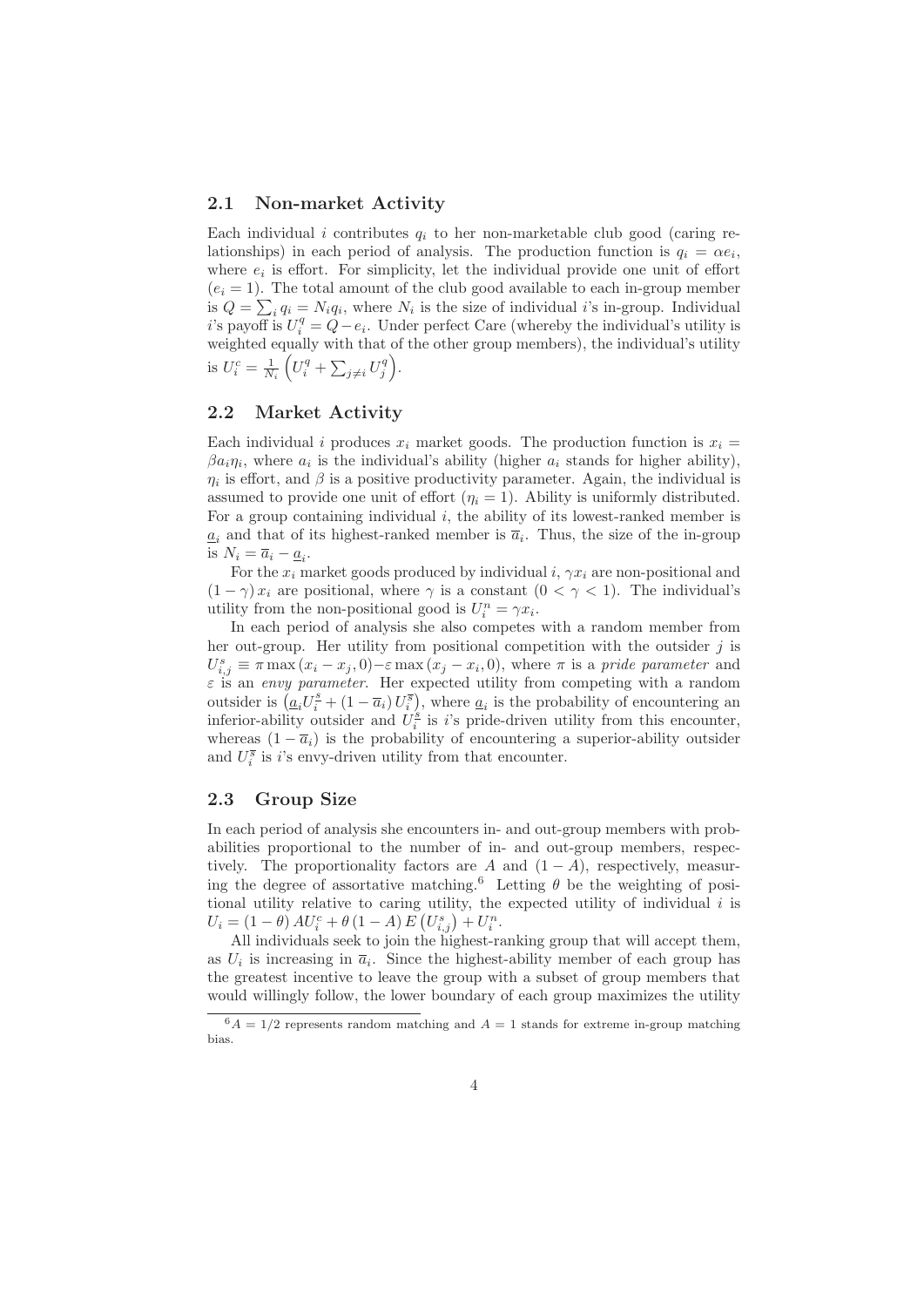#### **2.1 Non-market Activity**

Each individual i contributes  $q_i$  to her non-marketable club good (caring relationships) in each period of analysis. The production function is  $q_i = \alpha e_i$ , where  $e_i$  is effort. For simplicity, let the individual provide one unit of effort  $(e_i = 1)$ . The total amount of the club good available to each in-group member is  $Q = \sum_i q_i = N_i q_i$ , where  $N_i$  is the size of individual *i*'s in-group. Individual i's payoff is  $U_i^q = Q - e_i$ . Under perfect Care (whereby the individual's utility is weighted equally with that of the other group members), the individual's utility is  $U_i^c = \frac{1}{N_i} \left( U_i^q + \sum_{j \neq i} U_j^q \right)$ .

#### **2.2 Market Activity**

Each individual i produces  $x_i$  market goods. The production function is  $x_i =$  $\beta a_i \eta_i$ , where  $a_i$  is the individual's ability (higher  $a_i$  stands for higher ability),  $\eta_i$  is effort, and  $\beta$  is a positive productivity parameter. Again, the individual is assumed to provide one unit of effort  $(\eta_i = 1)$ . Ability is uniformly distributed. For a group containing individual  $i$ , the ability of its lowest-ranked member is  $a_i$  and that of its highest-ranked member is  $\bar{a}_i$ . Thus, the size of the in-group is  $N_i = \overline{a}_i - \underline{a}_i$ .

For the  $x_i$  market goods produced by individual i,  $\gamma x_i$  are non-positional and  $(1 - \gamma)x_i$  are positional, where  $\gamma$  is a constant  $(0 < \gamma < 1)$ . The individual's utility from the non-positional good is  $U_i^n = \gamma x_i$ .

In each period of analysis she also competes with a random member from her out-group. Her utility from positional competition with the outsider  $j$  is  $U_{i,j}^s \equiv \pi \max(x_i - x_j, 0) - \varepsilon \max(x_j - x_i, 0)$ , where  $\pi$  is a pride parameter and  $\varepsilon$  is an envy parameter. Her expected utility from competing with a random outsider is  $(a_i U_i^s + (1 - \overline{a}_i) U_i^{\overline{s}})$ , where  $a_i$  is the probability of encountering an inferior-ability outsider and  $U_i^s$  is i's pride-driven utility from this encounter, whereas  $(1 - \overline{a}_i)$  is the probability of encountering a superior-ability outsider and  $U_i^{\overline{s}}$  is *i*'s envy-driven utility from that encounter.

#### **2.3 Group Size**

In each period of analysis she encounters in- and out-group members with probabilities proportional to the number of in- and out-group members, respectively. The proportionality factors are A and  $(1 - A)$ , respectively, measuring the degree of assortative matching.<sup>6</sup> Letting  $\theta$  be the weighting of positional utility relative to caring utility, the expected utility of individual  $i$  is  $U_i = (1 - \theta) A U_i^c + \theta (1 - A) E (U_{i,j}^s) + U_i^n.$ 

All individuals seek to join the highest-ranking group that will accept them, as  $U_i$  is increasing in  $\overline{a}_i$ . Since the highest-ability member of each group has the greatest incentive to leave the group with a subset of group members that would willingly follow, the lower boundary of each group maximizes the utility

 $6A = 1/2$  represents random matching and  $A = 1$  stands for extreme in-group matching bias.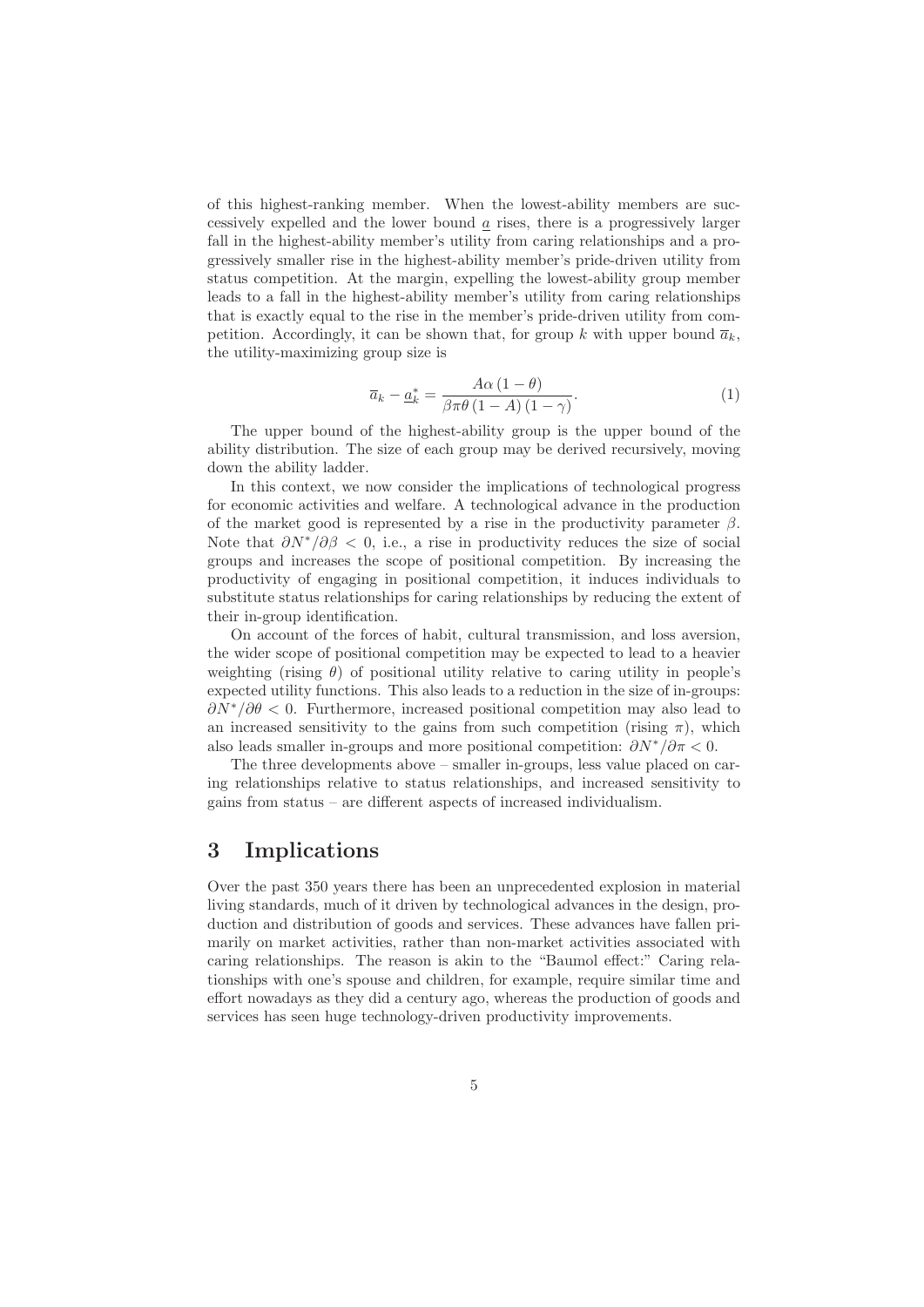of this highest-ranking member. When the lowest-ability members are successively expelled and the lower bound  $\alpha$  rises, there is a progressively larger fall in the highest-ability member's utility from caring relationships and a progressively smaller rise in the highest-ability member's pride-driven utility from status competition. At the margin, expelling the lowest-ability group member leads to a fall in the highest-ability member's utility from caring relationships that is exactly equal to the rise in the member's pride-driven utility from competition. Accordingly, it can be shown that, for group k with upper bound  $\bar{a}_k$ , the utility-maximizing group size is

$$
\overline{a}_k - \underline{a}_k^* = \frac{A\alpha \left(1 - \theta\right)}{\beta \pi \theta \left(1 - A\right) \left(1 - \gamma\right)}.
$$
\n(1)

The upper bound of the highest-ability group is the upper bound of the ability distribution. The size of each group may be derived recursively, moving down the ability ladder.

In this context, we now consider the implications of technological progress for economic activities and welfare. A technological advance in the production of the market good is represented by a rise in the productivity parameter  $\beta$ . Note that  $\partial N^*/\partial \beta < 0$ , i.e., a rise in productivity reduces the size of social groups and increases the scope of positional competition. By increasing the productivity of engaging in positional competition, it induces individuals to substitute status relationships for caring relationships by reducing the extent of their in-group identification.

On account of the forces of habit, cultural transmission, and loss aversion, the wider scope of positional competition may be expected to lead to a heavier weighting (rising  $\theta$ ) of positional utility relative to caring utility in people's expected utility functions. This also leads to a reduction in the size of in-groups:  $\partial N^*/\partial \theta < 0$ . Furthermore, increased positional competition may also lead to an increased sensitivity to the gains from such competition (rising  $\pi$ ), which also leads smaller in-groups and more positional competition:  $\partial N^*/\partial \pi < 0$ .

The three developments above – smaller in-groups, less value placed on caring relationships relative to status relationships, and increased sensitivity to gains from status – are different aspects of increased individualism.

#### **3 Implications**

Over the past 350 years there has been an unprecedented explosion in material living standards, much of it driven by technological advances in the design, production and distribution of goods and services. These advances have fallen primarily on market activities, rather than non-market activities associated with caring relationships. The reason is akin to the "Baumol effect:" Caring relationships with one's spouse and children, for example, require similar time and effort nowadays as they did a century ago, whereas the production of goods and services has seen huge technology-driven productivity improvements.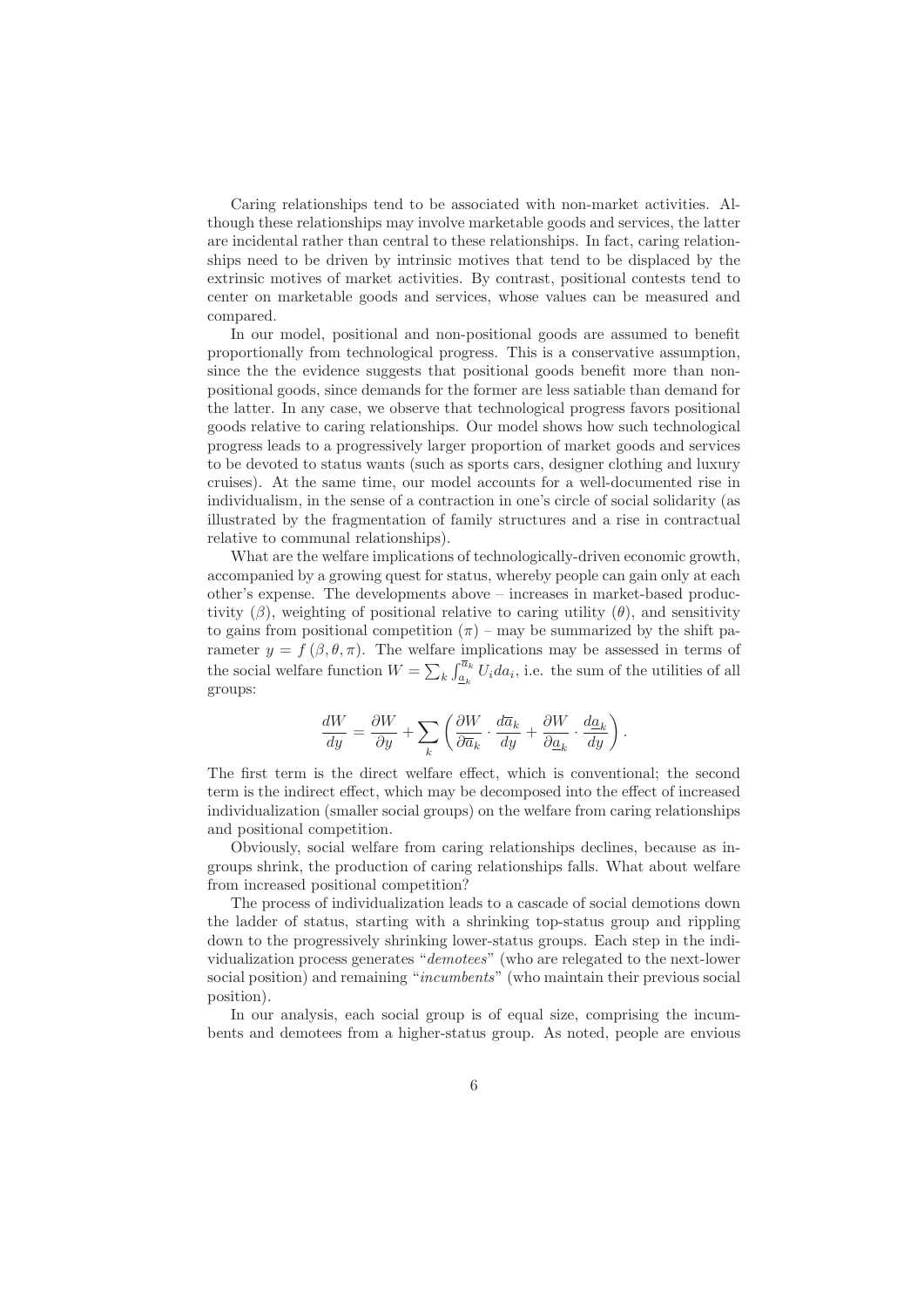Caring relationships tend to be associated with non-market activities. Although these relationships may involve marketable goods and services, the latter are incidental rather than central to these relationships. In fact, caring relationships need to be driven by intrinsic motives that tend to be displaced by the extrinsic motives of market activities. By contrast, positional contests tend to center on marketable goods and services, whose values can be measured and compared.

In our model, positional and non-positional goods are assumed to benefit proportionally from technological progress. This is a conservative assumption, since the the evidence suggests that positional goods benefit more than nonpositional goods, since demands for the former are less satiable than demand for the latter. In any case, we observe that technological progress favors positional goods relative to caring relationships. Our model shows how such technological progress leads to a progressively larger proportion of market goods and services to be devoted to status wants (such as sports cars, designer clothing and luxury cruises). At the same time, our model accounts for a well-documented rise in individualism, in the sense of a contraction in one's circle of social solidarity (as illustrated by the fragmentation of family structures and a rise in contractual relative to communal relationships).

What are the welfare implications of technologically-driven economic growth, accompanied by a growing quest for status, whereby people can gain only at each other's expense. The developments above – increases in market-based productivity  $(\beta)$ , weighting of positional relative to caring utility  $(\theta)$ , and sensitivity to gains from positional competition  $(\pi)$  – may be summarized by the shift parameter  $y = f(\beta, \theta, \pi)$ . The welfare implications may be assessed in terms of the social welfare function  $W = \sum_{k} \int_{\underline{a}_k}^{\overline{a}_k} U_i da_i$ , i.e. the sum of the utilities of all groups:

$$
\frac{dW}{dy} = \frac{\partial W}{\partial y} + \sum_{k} \left( \frac{\partial W}{\partial \overline{a}_k} \cdot \frac{d\overline{a}_k}{dy} + \frac{\partial W}{\partial \underline{a}_k} \cdot \frac{d\underline{a}_k}{dy} \right).
$$

The first term is the direct welfare effect, which is conventional; the second term is the indirect effect, which may be decomposed into the effect of increased individualization (smaller social groups) on the welfare from caring relationships and positional competition.

Obviously, social welfare from caring relationships declines, because as ingroups shrink, the production of caring relationships falls. What about welfare from increased positional competition?

The process of individualization leads to a cascade of social demotions down the ladder of status, starting with a shrinking top-status group and rippling down to the progressively shrinking lower-status groups. Each step in the individualization process generates "demotees" (who are relegated to the next-lower social position) and remaining "incumbents" (who maintain their previous social position).

In our analysis, each social group is of equal size, comprising the incumbents and demotees from a higher-status group. As noted, people are envious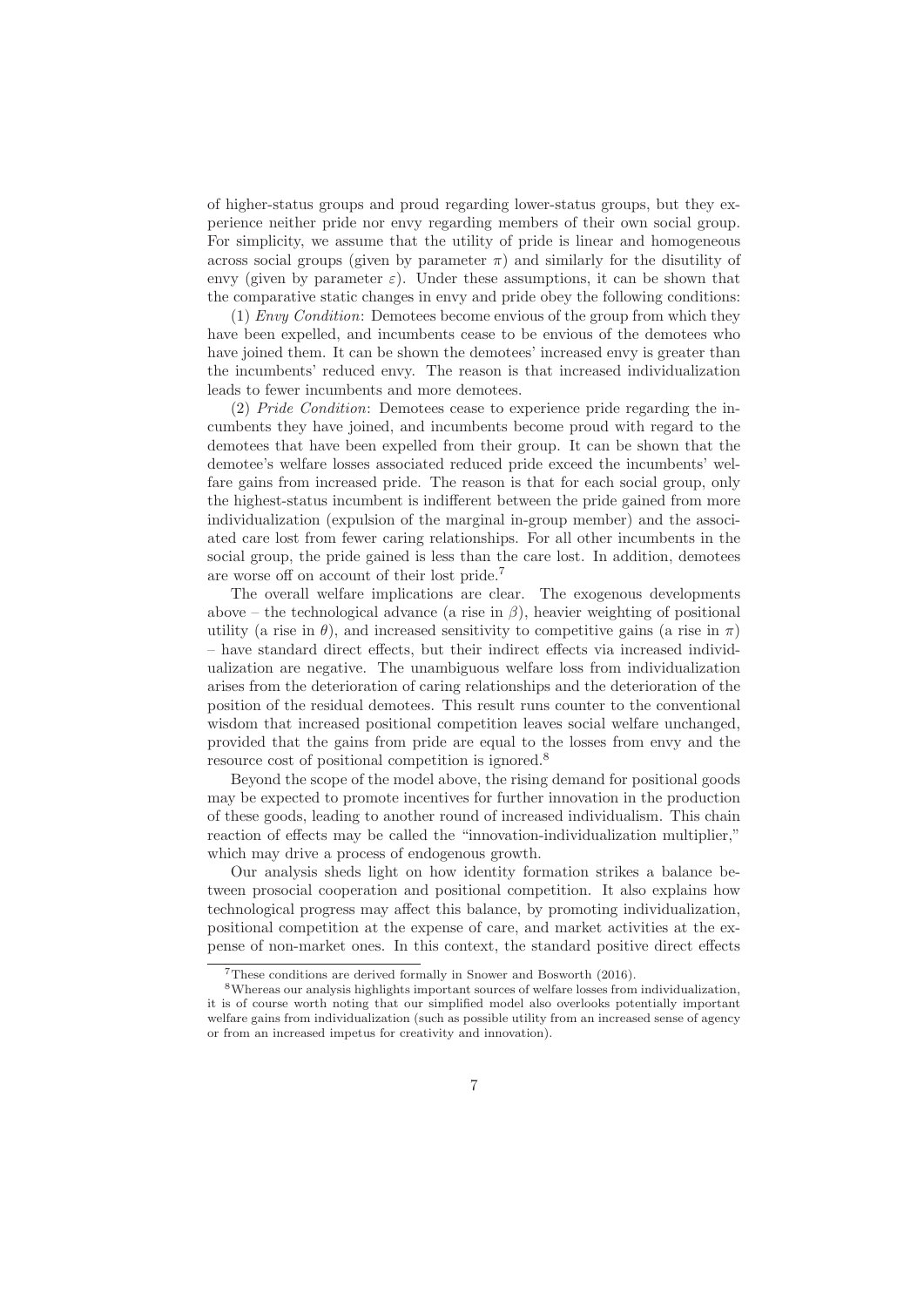of higher-status groups and proud regarding lower-status groups, but they experience neither pride nor envy regarding members of their own social group. For simplicity, we assume that the utility of pride is linear and homogeneous across social groups (given by parameter  $\pi$ ) and similarly for the disutility of envy (given by parameter  $\varepsilon$ ). Under these assumptions, it can be shown that the comparative static changes in envy and pride obey the following conditions:

(1) Envy Condition: Demotees become envious of the group from which they have been expelled, and incumbents cease to be envious of the demotees who have joined them. It can be shown the demotees' increased envy is greater than the incumbents' reduced envy. The reason is that increased individualization leads to fewer incumbents and more demotees.

(2) Pride Condition: Demotees cease to experience pride regarding the incumbents they have joined, and incumbents become proud with regard to the demotees that have been expelled from their group. It can be shown that the demotee's welfare losses associated reduced pride exceed the incumbents' welfare gains from increased pride. The reason is that for each social group, only the highest-status incumbent is indifferent between the pride gained from more individualization (expulsion of the marginal in-group member) and the associated care lost from fewer caring relationships. For all other incumbents in the social group, the pride gained is less than the care lost. In addition, demotees are worse off on account of their lost pride.<sup>7</sup>

The overall welfare implications are clear. The exogenous developments above – the technological advance (a rise in  $\beta$ ), heavier weighting of positional utility (a rise in  $\theta$ ), and increased sensitivity to competitive gains (a rise in  $\pi$ ) – have standard direct effects, but their indirect effects via increased individualization are negative. The unambiguous welfare loss from individualization arises from the deterioration of caring relationships and the deterioration of the position of the residual demotees. This result runs counter to the conventional wisdom that increased positional competition leaves social welfare unchanged, provided that the gains from pride are equal to the losses from envy and the resource cost of positional competition is ignored.<sup>8</sup>

Beyond the scope of the model above, the rising demand for positional goods may be expected to promote incentives for further innovation in the production of these goods, leading to another round of increased individualism. This chain reaction of effects may be called the "innovation-individualization multiplier," which may drive a process of endogenous growth.

Our analysis sheds light on how identity formation strikes a balance between prosocial cooperation and positional competition. It also explains how technological progress may affect this balance, by promoting individualization, positional competition at the expense of care, and market activities at the expense of non-market ones. In this context, the standard positive direct effects

<sup>7</sup>These conditions are derived formally in Snower and Bosworth (2016).

<sup>8</sup>Whereas our analysis highlights important sources of welfare losses from individualization, it is of course worth noting that our simplified model also overlooks potentially important welfare gains from individualization (such as possible utility from an increased sense of agency or from an increased impetus for creativity and innovation).